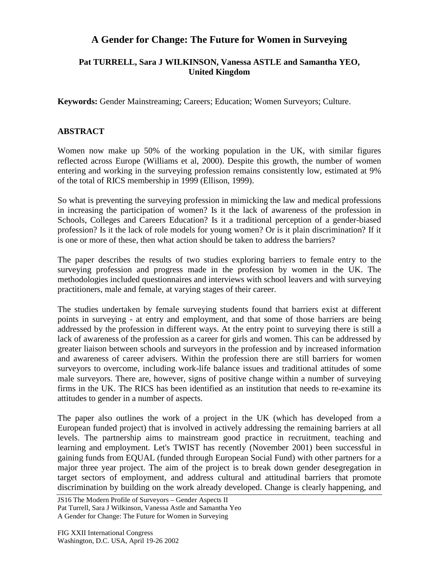## **A Gender for Change: The Future for Women in Surveying**

## **Pat TURRELL, Sara J WILKINSON, Vanessa ASTLE and Samantha YEO, United Kingdom**

**Keywords:** Gender Mainstreaming; Careers; Education; Women Surveyors; Culture.

## **ABSTRACT**

Women now make up 50% of the working population in the UK, with similar figures reflected across Europe (Williams et al, 2000). Despite this growth, the number of women entering and working in the surveying profession remains consistently low, estimated at 9% of the total of RICS membership in 1999 (Ellison, 1999).

So what is preventing the surveying profession in mimicking the law and medical professions in increasing the participation of women? Is it the lack of awareness of the profession in Schools, Colleges and Careers Education? Is it a traditional perception of a gender-biased profession? Is it the lack of role models for young women? Or is it plain discrimination? If it is one or more of these, then what action should be taken to address the barriers?

The paper describes the results of two studies exploring barriers to female entry to the surveying profession and progress made in the profession by women in the UK. The methodologies included questionnaires and interviews with school leavers and with surveying practitioners, male and female, at varying stages of their career.

The studies undertaken by female surveying students found that barriers exist at different points in surveying - at entry and employment, and that some of those barriers are being addressed by the profession in different ways. At the entry point to surveying there is still a lack of awareness of the profession as a career for girls and women. This can be addressed by greater liaison between schools and surveyors in the profession and by increased information and awareness of career advisers. Within the profession there are still barriers for women surveyors to overcome, including work-life balance issues and traditional attitudes of some male surveyors. There are, however, signs of positive change within a number of surveying firms in the UK. The RICS has been identified as an institution that needs to re-examine its attitudes to gender in a number of aspects.

The paper also outlines the work of a project in the UK (which has developed from a European funded project) that is involved in actively addressing the remaining barriers at all levels. The partnership aims to mainstream good practice in recruitment, teaching and learning and employment. Let's TWIST has recently (November 2001) been successful in gaining funds from EQUAL (funded through European Social Fund) with other partners for a major three year project. The aim of the project is to break down gender desegregation in target sectors of employment, and address cultural and attitudinal barriers that promote discrimination by building on the work already developed. Change is clearly happening, and

JS16 The Modern Profile of Surveyors – Gender Aspects II Pat Turrell, Sara J Wilkinson, Vanessa Astle and Samantha Yeo A Gender for Change: The Future for Women in Surveying